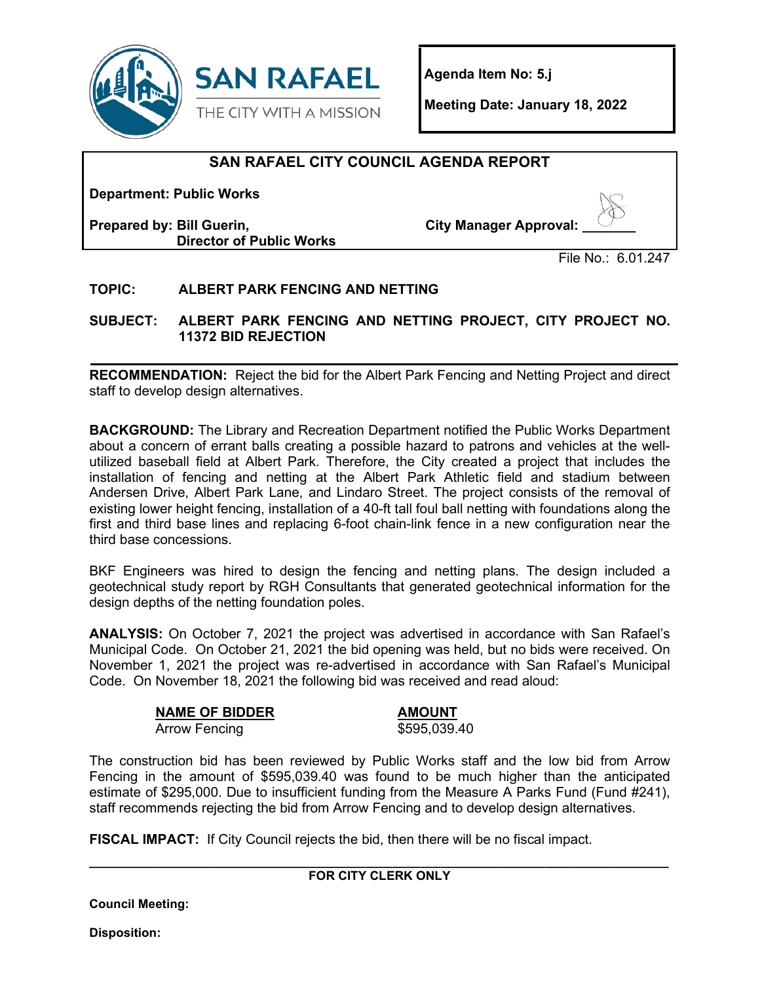

**Agenda Item No: 5.j**

**Meeting Date: January 18, 2022**

# **SAN RAFAEL CITY COUNCIL AGENDA REPORT**

**Department: Public Works**

**Prepared by: Bill Guerin, Director of Public Works** **City Manager Approval: \_\_\_\_\_\_\_** 

File No.: 6.01.247

### **TOPIC: ALBERT PARK FENCING AND NETTING**

**SUBJECT: ALBERT PARK FENCING AND NETTING PROJECT, CITY PROJECT NO. 11372 BID REJECTION** 

**RECOMMENDATION:** Reject the bid for the Albert Park Fencing and Netting Project and direct staff to develop design alternatives.

**BACKGROUND:** The Library and Recreation Department notified the Public Works Department about a concern of errant balls creating a possible hazard to patrons and vehicles at the wellutilized baseball field at Albert Park. Therefore, the City created a project that includes the installation of fencing and netting at the Albert Park Athletic field and stadium between Andersen Drive, Albert Park Lane, and Lindaro Street. The project consists of the removal of existing lower height fencing, installation of a 40-ft tall foul ball netting with foundations along the first and third base lines and replacing 6-foot chain-link fence in a new configuration near the third base concessions.

BKF Engineers was hired to design the fencing and netting plans. The design included a geotechnical study report by RGH Consultants that generated geotechnical information for the design depths of the netting foundation poles.

**ANALYSIS:** On October 7, 2021 the project was advertised in accordance with San Rafael's Municipal Code. On October 21, 2021 the bid opening was held, but no bids were received. On November 1, 2021 the project was re-advertised in accordance with San Rafael's Municipal Code. On November 18, 2021 the following bid was received and read aloud:

### **NAME OF BIDDER AMOUNT**

Arrow Fencing 3595,039.40

The construction bid has been reviewed by Public Works staff and the low bid from Arrow Fencing in the amount of \$595,039.40 was found to be much higher than the anticipated estimate of \$295,000. Due to insufficient funding from the Measure A Parks Fund (Fund #241), staff recommends rejecting the bid from Arrow Fencing and to develop design alternatives.

**FISCAL IMPACT:** If City Council rejects the bid, then there will be no fiscal impact.

#### **\_\_\_\_\_\_\_\_\_\_\_\_\_\_\_\_\_\_\_\_\_\_\_\_\_\_\_\_\_\_\_\_\_\_\_\_\_\_\_\_\_\_\_\_\_\_\_\_\_\_\_\_\_\_\_\_\_\_\_\_\_\_\_\_\_\_\_\_\_\_\_\_\_\_\_\_\_\_\_\_\_\_\_\_ FOR CITY CLERK ONLY**

**Council Meeting:** 

**Disposition:**